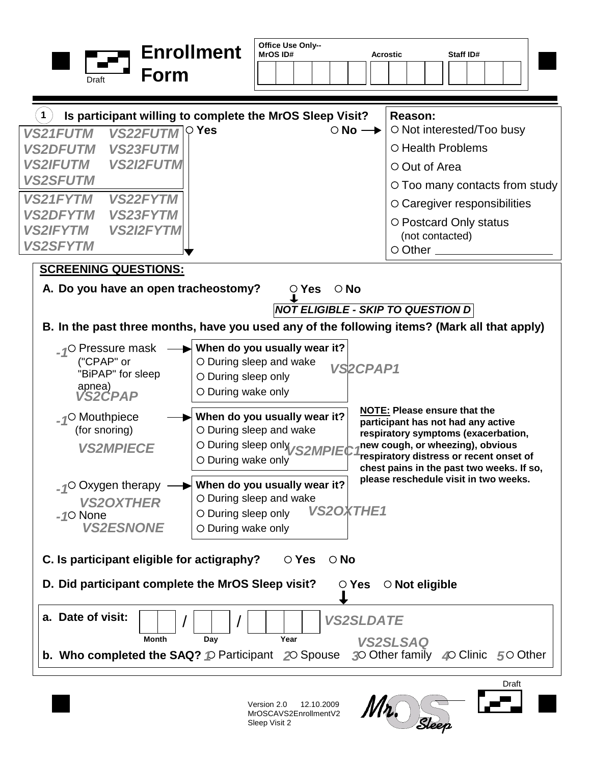| Form<br>Draft                                                                                                                                                                                                                                                                                                                                                                      | <b>Enrollment</b>                                                                                                   | Office Use Only--<br><b>MrOS ID#</b>                    |                                     | <b>Acrostic</b> |                                                  | Staff ID#                                                                                                                                                                                                                                                                             |       |  |
|------------------------------------------------------------------------------------------------------------------------------------------------------------------------------------------------------------------------------------------------------------------------------------------------------------------------------------------------------------------------------------|---------------------------------------------------------------------------------------------------------------------|---------------------------------------------------------|-------------------------------------|-----------------|--------------------------------------------------|---------------------------------------------------------------------------------------------------------------------------------------------------------------------------------------------------------------------------------------------------------------------------------------|-------|--|
| $\mathbf 1$<br>Is participant willing to complete the MrOS Sleep Visit?<br><b>VS22FUTM</b><br><b>VS21FUTM</b><br><b>VS23FUTM</b><br><b>VS2DFUTM</b><br><b>VS2I2FUTM</b><br><b>VS2IFUTM</b><br><b>VS2SFUTM</b><br><b>VS22FYTM</b><br><b>VS21FYTM</b><br><b>VS23FYTM</b><br><b>VS2DFYTM</b><br><b>VS2I2FYTM</b><br><b>VS2IFYTM</b><br><b>VS2SFYTM</b><br><b>SCREENING QUESTIONS:</b> | $\circ$ Yes                                                                                                         |                                                         | $\circ$ No $\rightarrow$            |                 | Reason:<br>○ Out of Area<br>$\circ$ Other $\_\_$ | ○ Not interested/Too busy<br>O Health Problems<br>○ Too many contacts from study<br>$\circ$ Caregiver responsibilities<br>O Postcard Only status<br>(not contacted)                                                                                                                   |       |  |
| A. Do you have an open tracheostomy?<br>B. In the past three months, have you used any of the following items? (Mark all that apply)<br><sub>-1</sub> O Pressure mask<br>("CPAP" or<br>"BiPAP" for sleep<br>apnea)<br><b>VS2CPAP</b>                                                                                                                                               | When do you usually wear it?<br>O During sleep and wake<br>$\circ$ During sleep only<br>O During wake only          | $\circ$ Yes<br><b>NOT ELIGIBLE - SKIP TO QUESTION D</b> | $\circ$ No<br>VS <sub>2</sub> CPAP1 |                 |                                                  |                                                                                                                                                                                                                                                                                       |       |  |
| $_{\text{-}1}$ O Mouthpiece<br>(for snoring)<br><b>VS2MPIECE</b><br>$_{-4}$ O Oxygen therapy                                                                                                                                                                                                                                                                                       | When do you usually wear it?<br>O During sleep and wake<br>$\circ$ During wake only<br>When do you usually wear it? | O During sleep only <sub>VS2MPIEC</sub>                 |                                     |                 |                                                  | <b>NOTE: Please ensure that the</b><br>participant has not had any active<br>respiratory symptoms (exacerbation,<br>new cough, or wheezing), obvious<br>respiratory distress or recent onset of<br>chest pains in the past two weeks. If so,<br>please reschedule visit in two weeks. |       |  |
| <b>VS2OXTHER</b><br>$-10$ None<br><b>VS2ESNONE</b><br>C. Is participant eligible for actigraphy?                                                                                                                                                                                                                                                                                   | O During sleep and wake<br>O During sleep only<br>O During wake only                                                | $\circ$ Yes                                             | <b>VS2OXTHE1</b><br>$\circ$ No      |                 |                                                  |                                                                                                                                                                                                                                                                                       |       |  |
| D. Did participant complete the MrOS Sleep visit?<br>a. Date of visit:                                                                                                                                                                                                                                                                                                             |                                                                                                                     |                                                         | $\circ$ Yes<br><b>VS2SLDATE</b>     |                 | $\circ$ Not eligible                             |                                                                                                                                                                                                                                                                                       |       |  |
| Month<br><b>b.</b> Who completed the SAQ? $\circledcirc$ Participant 20 Spouse                                                                                                                                                                                                                                                                                                     | Day                                                                                                                 | Year                                                    |                                     |                 | <b>VS2SLSAQ</b>                                  | 30 Other family 40 Clinic 50 Other                                                                                                                                                                                                                                                    |       |  |
|                                                                                                                                                                                                                                                                                                                                                                                    |                                                                                                                     |                                                         |                                     |                 |                                                  |                                                                                                                                                                                                                                                                                       | Draft |  |

Version 2.0 12.10.2009 MrOSCAVS2EnrollmentV2 Sleep Visit 2

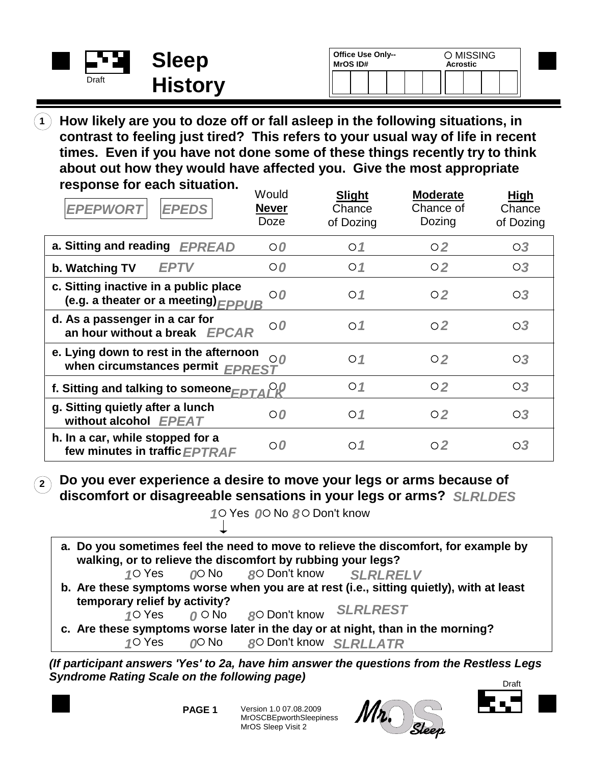| <b>Contract Contract</b> | <b>Sleep</b>   | <b>Office Use Only--</b><br><b>MrOS ID#</b> | O MISSING<br><b>Acrostic</b> |  |  |  |  |  |  |
|--------------------------|----------------|---------------------------------------------|------------------------------|--|--|--|--|--|--|
| Draft                    | <b>History</b> |                                             |                              |  |  |  |  |  |  |

**How likely are you to doze off or fall asleep in the following situations, in contrast to feeling just tired? This refers to your usual way of life in recent times. Even if you have not done some of these things recently try to think about out how they would have affected you. Give the most appropriate response for each situation. 1**

| <b>EPEPWORT</b><br><b>EPEDS</b>                                                      | Would<br><b>Never</b><br>Doze | <b>Slight</b><br>Chance<br>of Dozing | <b>Moderate</b><br>Chance of<br>Dozing | High<br>Chance<br>of Dozing |
|--------------------------------------------------------------------------------------|-------------------------------|--------------------------------------|----------------------------------------|-----------------------------|
| a. Sitting and reading EPREAD                                                        | $\circ$ 0                     | $\circ$ 1                            | $\circ$ 2                              | $\overline{O3}$             |
| <b>EPTV</b><br>b. Watching TV                                                        | $\circ$ 0                     | $\circ$ 1                            | O <sub>2</sub>                         | O3                          |
| c. Sitting inactive in a public place<br>(e.g. a theater or a meeting) $\sqrt{PPIB}$ | $\circ$ 0                     | $\circ$ 1                            | $\circ$ 2                              | $\overline{O3}$             |
| d. As a passenger in a car for<br>an hour without a break EPCAR                      | $\circ$ 0                     | $\circ$ 1                            | $\circ$ 2                              | $\overline{O3}$             |
| e. Lying down to rest in the afternoon<br>when circumstances permit EPREST           | O <sub>0</sub>                | $\circ$ 1                            | $\circ$ 2                              | $\circ$ <sub>3</sub>        |
| f. Sitting and talking to someone $\epsilon_{EPTA}P^Q$                               |                               | $\circ$ 1                            | O <sub>2</sub>                         | $\circ$ <sub>3</sub>        |
| g. Sitting quietly after a lunch<br>without alcohol EPEAT                            | $O$ <sub><math>O</math></sub> | $\circ$ 1                            | O <sub>2</sub>                         | O3                          |
| h. In a car, while stopped for a<br>few minutes in traffic EPTRAF                    | $\circ$                       | $\circ$ 1                            | $\circ$ 2                              | $\overline{O3}$             |

**<sup>2</sup> Do you ever experience a desire to move your legs or arms because of discomfort or disagreeable sensations in your legs or arms?** *SLRLDES*

10 Yes 00 No 80 Don't know

**b. Are these symptoms worse when you are at rest (i.e., sitting quietly), with at least temporary relief by activity? c. Are these symptoms worse later in the day or at night, than in the morning? a. Do you sometimes feel the need to move to relieve the discomfort, for example by walking, or to relieve the discomfort by rubbing your legs? O** No **R**O Don't know  $1^\circ$  Yes  $0^\circ$  No  $8^\circ$  Don't know Yes *()*O No *8*O Don't know *SLRLLATR SLRLRELV SLRLREST 1 0 8*  $\theta$   $\circ$  No *1 0 8*

*(If participant answers 'Yes' to 2a, have him answer the questions from the Restless Legs Syndrome Rating Scale on the following page)*

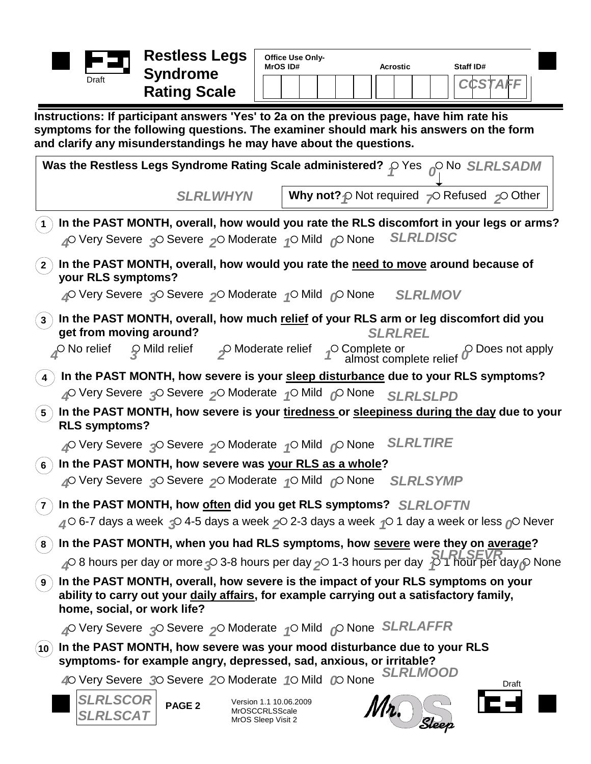

| Office Use Only-<br><b>MrOS ID#</b> | <b>Acrostic</b> | Staff ID# |
|-------------------------------------|-----------------|-----------|
|                                     |                 |           |

**Instructions: If participant answers 'Yes' to 2a on the previous page, have him rate his symptoms for the following questions. The examiner should mark his answers on the form and clarify any misunderstandings he may have about the questions.**

| Was the Restless Legs Syndrome Rating Scale administered? $\varphi$ Yes $\varphi^{\text{O}}$ No <i>SLRLSADM</i>                                                                                                                                                                                           |  |  |  |  |  |  |  |  |  |
|-----------------------------------------------------------------------------------------------------------------------------------------------------------------------------------------------------------------------------------------------------------------------------------------------------------|--|--|--|--|--|--|--|--|--|
| <b>SLRLWHYN</b><br><b>Why not?</b> $\varphi$ Not required $\varphi$ Refused $\varphi$ Other                                                                                                                                                                                                               |  |  |  |  |  |  |  |  |  |
| In the PAST MONTH, overall, how would you rate the RLS discomfort in your legs or arms?<br><b>SLRLDISC</b><br>△ Very Severe △ Severe △ Moderate △ Mild △ None                                                                                                                                             |  |  |  |  |  |  |  |  |  |
| In the PAST MONTH, overall, how would you rate the need to move around because of<br>$\mathbf{2}$ )<br>your RLS symptoms?<br>4º Very Severe 3º Severe 2º Moderate 1º Mild 6º None SLRLMOV                                                                                                                 |  |  |  |  |  |  |  |  |  |
| In the PAST MONTH, overall, how much relief of your RLS arm or leg discomfort did you<br>$\mathbf{3}$ )<br>get from moving around?<br><b>SLRLREL</b><br>$\circled{g}$ Mild relief $\circled{f}$ Moderate relief $\circled{f}$ Complete or almost complete relief<br>$\circ$ No relief<br>p Does not apply |  |  |  |  |  |  |  |  |  |
| In the PAST MONTH, how severe is your sleep disturbance due to your RLS symptoms?<br>$\overline{4}$<br>△ Very Severe 3 Severe 2 Moderate 1 Mild © None SLRLSLPD                                                                                                                                           |  |  |  |  |  |  |  |  |  |
| In the PAST MONTH, how severe is your tiredness or sleepiness during the day due to your<br>$\left(5\right)$<br><b>RLS symptoms?</b>                                                                                                                                                                      |  |  |  |  |  |  |  |  |  |
| 4 <sup>O</sup> Very Severe 3O Severe 2O Moderate <sub>1</sub> O Mild <sub>0</sub> O None SLRLTIRE<br>$\mathcal{L}_{6}$ ) In the PAST MONTH, how severe was <u>your RLS as a whole</u> ?<br>△ Very Severe 3 Severe 2 Moderate 1 Mild © None SLRLSYMP                                                       |  |  |  |  |  |  |  |  |  |
| In the PAST MONTH, how often did you get RLS symptoms? SLRLOFTN<br>$\mathbf{7}$<br>$\triangle$ 6-7 days a week $\triangle$ 4-5 days a week $\triangle$ 2-3 days a week $\triangle$ 1 day a week or less $\triangle$ Never                                                                                 |  |  |  |  |  |  |  |  |  |
| In the PAST MONTH, when you had RLS symptoms, how severe were they on average?<br>$^{\circ}$ 8 $^{\circ}$<br>$\triangle$ 8 hours per day or more $\triangle$ 3-8 hours per day $\triangle$ 1-3 hours per day $\triangle$ 1 hour per day $\triangle$ None                                                  |  |  |  |  |  |  |  |  |  |
| $\mathbf{\hat{P}}$ In the PAST MONTH, overall, how severe is the impact of your RLS symptoms on your<br>ability to carry out your daily affairs, for example carrying out a satisfactory family,<br>home, social, or work life?                                                                           |  |  |  |  |  |  |  |  |  |
| 4 <sup>O</sup> Very Severe 3O Severe 2O Moderate 4O Mild 6O None SLRLAFFR                                                                                                                                                                                                                                 |  |  |  |  |  |  |  |  |  |
| In the PAST MONTH, how severe was your mood disturbance due to your RLS<br>$({\bf 10})$<br>symptoms- for example angry, depressed, sad, anxious, or irritable?                                                                                                                                            |  |  |  |  |  |  |  |  |  |
| <b>SLRLMOOD</b><br>40 Very Severe 30 Severe 20 Moderate 10 Mild<br>C <sub>0</sub> None<br>Draft                                                                                                                                                                                                           |  |  |  |  |  |  |  |  |  |
| <b>SLRLSCOR</b><br>Version 1.1 10.06.2009<br>PAGE <sub>2</sub><br><b>MrOSCCRLSScale</b><br><b>SLRLSCAT</b><br>MrOS Sleep Visit 2                                                                                                                                                                          |  |  |  |  |  |  |  |  |  |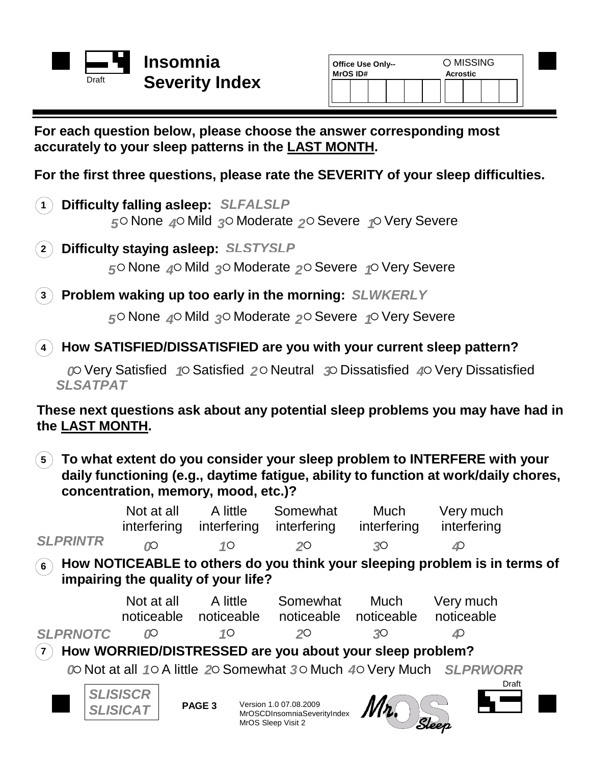

| <b>Office Use Only--</b><br>MrOS ID# |  | ○ MISSING<br><b>Acrostic</b> |  |  |  |  |  |  |
|--------------------------------------|--|------------------------------|--|--|--|--|--|--|
|                                      |  |                              |  |  |  |  |  |  |

## **For each question below, please choose the answer corresponding most accurately to your sleep patterns in the LAST MONTH.**

**For the first three questions, please rate the SEVERITY of your sleep difficulties.**

**1 Difficulty falling asleep:** *SLFALSLP* 5<sup>o</sup> None 4<sup>o</sup> Mild 3<sup>o</sup> Moderate 2<sup>o</sup> Severe 4<sup>o</sup> Very Severe

**2 Difficulty staying asleep:** *SLSTYSLP* 5<sup> $\circ$ </sup> None 4<sup> $\circ$ </sup> Mild 3<sup> $\circ$ </sup> Moderate 2<sup> $\circ$ </sup> Severe <sub>1</sub> $\circ$  Very Severe

**3 Problem waking up too early in the morning:** *SLWKERLY*

5<sup> $\circ$ </sup> None 4<sup> $\circ$ </sup> Mild 3<sup> $\circ$ </sup> Moderate 2<sup> $\circ$ </sup> Severe <sub>1</sub> $\circ$  Very Severe

**How SATISFIED/DISSATISFIED are you with your current sleep pattern? 4**

0 Very Satisfied 1  $\circ$  Satisfied 2  $\circ$  Neutral 3 Dissatisfied 4 Very Dissatisfied *SLSATPAT*

**These next questions ask about any potential sleep problems you may have had in the LAST MONTH.**

**To what extent do you consider your sleep problem to INTERFERE with your 5 daily functioning (e.g., daytime fatigue, ability to function at work/daily chores, concentration, memory, mood, etc.)?**

|                                                                                                                                  | Not at all<br>interfering          | A little<br>interfering | Somewhat<br>interfering                                                     | <b>Much</b><br>interfering | Very much<br>interfering                                           |  |  |  |  |
|----------------------------------------------------------------------------------------------------------------------------------|------------------------------------|-------------------------|-----------------------------------------------------------------------------|----------------------------|--------------------------------------------------------------------|--|--|--|--|
| <b>SLPRINTR</b>                                                                                                                  | OO.                                | $1^{\circ}$             | 20                                                                          | 30                         | ◢                                                                  |  |  |  |  |
| How NOTICEABLE to others do you think your sleeping problem is in terms of<br>$6^{\circ}$<br>impairing the quality of your life? |                                    |                         |                                                                             |                            |                                                                    |  |  |  |  |
|                                                                                                                                  | Not at all<br>noticeable           | A little<br>noticeable  | Somewhat<br>noticeable                                                      | Much<br>noticeable         | Very much<br>noticeable                                            |  |  |  |  |
| <b>SLPRNOTC</b>                                                                                                                  | <b>D</b>                           | $1^{\circ}$             | 20                                                                          | 30                         |                                                                    |  |  |  |  |
| $\overline{7}$                                                                                                                   |                                    |                         | How WORRIED/DISTRESSED are you about your sleep problem?                    |                            |                                                                    |  |  |  |  |
|                                                                                                                                  |                                    |                         |                                                                             |                            | @ Not at all 10 A little 20 Somewhat 30 Much 40 Very Much SLPRWORR |  |  |  |  |
|                                                                                                                                  | <b>SLISISCR</b><br><b>SLISICAT</b> | PAGE <sub>3</sub>       | Version 1.0 07.08.2009<br>MrOSCDInsomniaSeverityIndex<br>MrOS Sleep Visit 2 |                            | Draft<br>Sleen                                                     |  |  |  |  |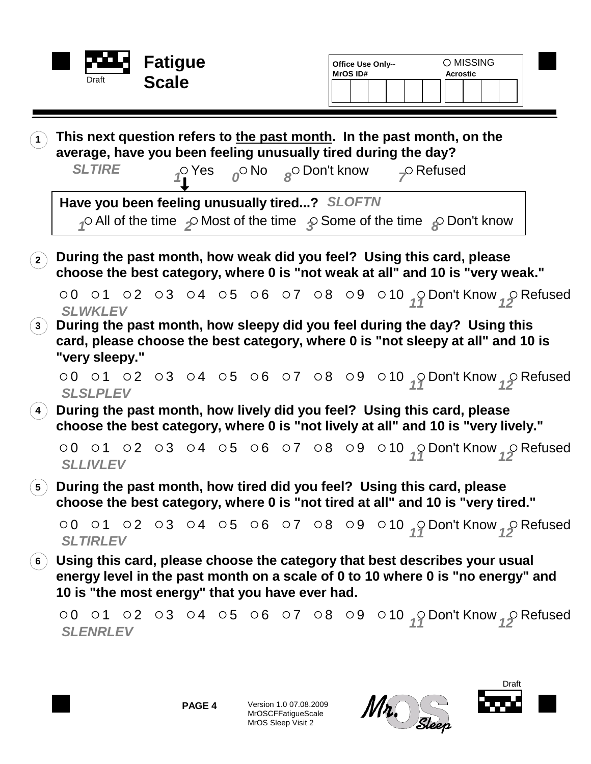|                                |                 | Draft                                                                                                                                                                                                                                                                 | <b>Fatigue</b><br><b>Scale</b> |  |  | Office Use Only--<br>MrOS ID#                                                                                                                                                             |  |                           | O MISSING<br><b>Acrostic</b> |                                                                                    |
|--------------------------------|-----------------|-----------------------------------------------------------------------------------------------------------------------------------------------------------------------------------------------------------------------------------------------------------------------|--------------------------------|--|--|-------------------------------------------------------------------------------------------------------------------------------------------------------------------------------------------|--|---------------------------|------------------------------|------------------------------------------------------------------------------------|
|                                |                 | This next question refers to the past month. In the past month, on the<br>average, have you been feeling unusually tired during the day?<br><b>SLTIRE</b>                                                                                                             |                                |  |  | $\int_{\mathbb{R}} \int_{\mathbb{R}} \mathsf{P} \cos \theta \, d\theta$ or $\int_{\mathbb{R}} \mathsf{P} \cos \theta \, d\theta$ or $\int_{\mathbb{R}} \mathsf{P} \cos \theta \, d\theta$ |  | $\curvearrowleft$ Refused |                              |                                                                                    |
|                                |                 | Have you been feeling unusually tired? SLOFTN<br>$\curvearrowleft$ All of the time $\curvearrowleft$ Most of the time $\curvearrowright$ Some of the time $\curvearrowright$ Don't know                                                                               |                                |  |  |                                                                                                                                                                                           |  |                           |                              |                                                                                    |
| $\left( \, {\bf 2} \, \right)$ |                 | During the past month, how weak did you feel? Using this card, please<br>choose the best category, where 0 is "not weak at all" and 10 is "very weak."                                                                                                                |                                |  |  |                                                                                                                                                                                           |  |                           |                              |                                                                                    |
| $\left( 3\right)$              | <b>SLWKLEV</b>  | During the past month, how sleepy did you feel during the day? Using this<br>card, please choose the best category, where 0 is "not sleepy at all" and 10 is<br>"very sleepy."                                                                                        |                                |  |  |                                                                                                                                                                                           |  |                           |                              | 00 01 02 03 04 05 06 07 08 09 010 $\sqrt{}$ Don't Know $\sqrt{ }$ Refused          |
|                                |                 | <b>SLSLPLEV</b>                                                                                                                                                                                                                                                       |                                |  |  |                                                                                                                                                                                           |  |                           |                              | 00 01 02 03 04 05 06 07 08 09 010 $\sqrt{}$ Don't Know $\sqrt{ }$ Refused          |
|                                |                 | During the past month, how lively did you feel? Using this card, please<br>choose the best category, where 0 is "not lively at all" and 10 is "very lively."                                                                                                          |                                |  |  |                                                                                                                                                                                           |  |                           |                              |                                                                                    |
|                                | <b>SLLIVLEV</b> |                                                                                                                                                                                                                                                                       |                                |  |  |                                                                                                                                                                                           |  |                           |                              | 00 01 02 03 04 05 06 07 08 09 010 $\sqrt{2}$ Don't Know $\sqrt{2}$ Refused         |
| $\vert 5 \rangle$              |                 | During the past month, how tired did you feel? Using this card, please<br>choose the best category, where 0 is "not tired at all" and 10 is "very tired."                                                                                                             |                                |  |  |                                                                                                                                                                                           |  |                           |                              |                                                                                    |
|                                | <b>SLTIRLEV</b> |                                                                                                                                                                                                                                                                       |                                |  |  |                                                                                                                                                                                           |  |                           |                              | 00 01 02 03 04 05 06 07 08 09 010 $\frac{1}{12}$ Don't Know $\frac{1}{12}$ Refused |
|                                |                 | $\left(\begin{smallmatrix}6\end{smallmatrix}\right)$ Using this card, please choose the category that best describes your usual<br>energy level in the past month on a scale of 0 to 10 where 0 is "no energy" and<br>10 is "the most energy" that you have ever had. |                                |  |  |                                                                                                                                                                                           |  |                           |                              |                                                                                    |
|                                |                 | <b>SLENRLEV</b>                                                                                                                                                                                                                                                       |                                |  |  |                                                                                                                                                                                           |  |                           |                              | 00 01 02 03 04 05 06 07 08 09 010 $\frac{9}{17}$ Don't Know $\frac{9}{12}$ Refused |



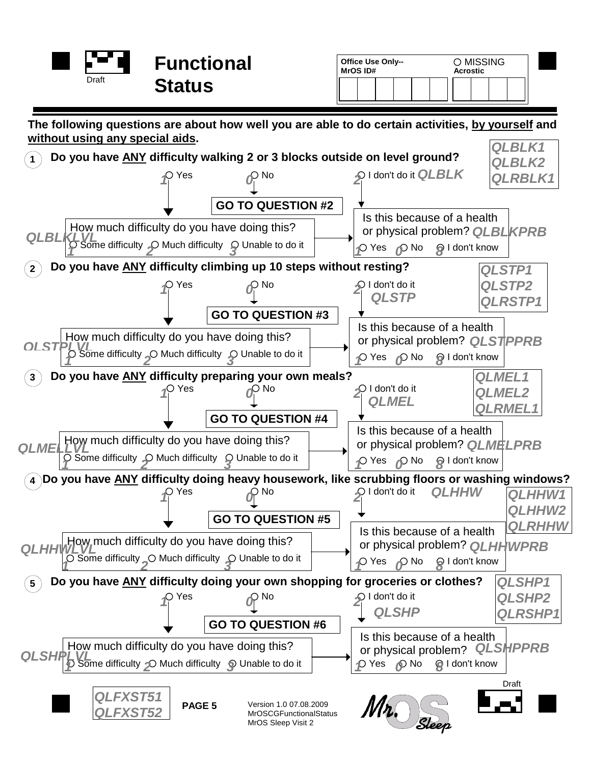| and the contract of the contract of | <b>Functional</b> | <b>Office Use Only--</b><br><b>MrOS ID#</b> | <b>MISSING</b><br><b>Acrostic</b> |
|-------------------------------------|-------------------|---------------------------------------------|-----------------------------------|
| Draft                               | Status            |                                             |                                   |
|                                     |                   |                                             |                                   |

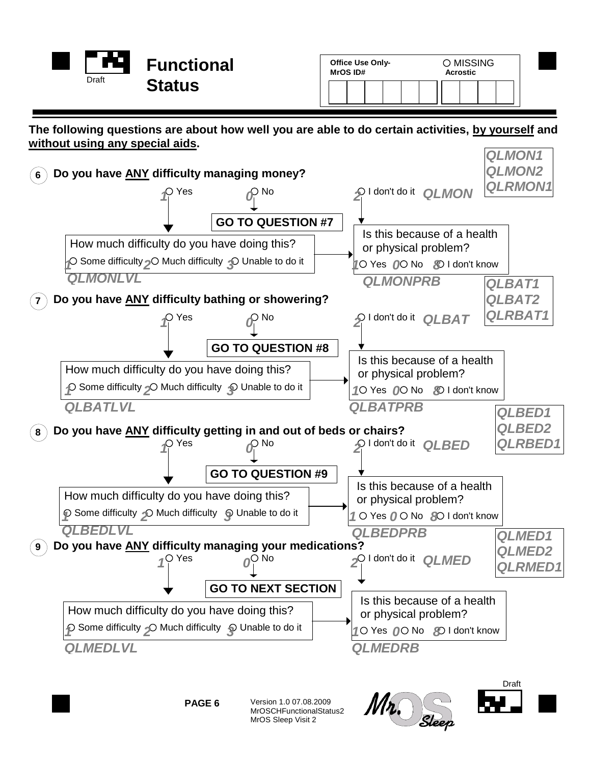|       | <b>Functional</b> |
|-------|-------------------|
| Draft | <b>Status</b>     |

| <b>Office Use Only-</b><br><b>MrOS ID#</b> |  | O MISSING<br>Acrostic |  |  |  |  |  |
|--------------------------------------------|--|-----------------------|--|--|--|--|--|
|                                            |  |                       |  |  |  |  |  |

**The following questions are about how well you are able to do certain activities, by yourself and without using any special aids.**



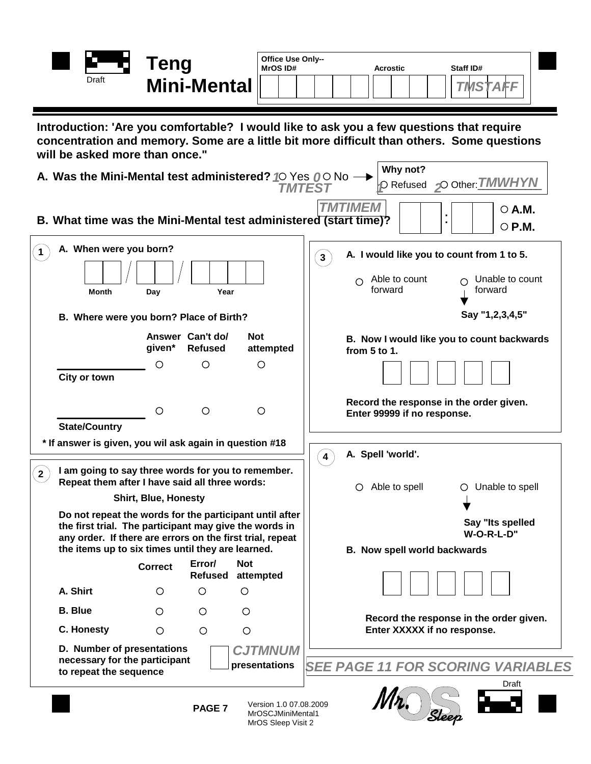

| Office Use Only--<br><b>MrOS ID#</b> |  |  |  |  |  | <b>Acrostic</b> |  | Staff ID# |
|--------------------------------------|--|--|--|--|--|-----------------|--|-----------|
|                                      |  |  |  |  |  |                 |  |           |

*TMSTAFF*

**Introduction: 'Are you comfortable? I would like to ask you a few questions that require concentration and memory. Some are a little bit more difficult than others. Some questions will be asked more than once."**

|                | A. Was the Mini-Mental test administered? 10 Yes 00 No -                                                                                                                                                                            |                             |                                    |                                                                   | Why not?<br>O Other: TMWHYN<br><i></i> Refused⊳<br>TMTEST                                                                         |
|----------------|-------------------------------------------------------------------------------------------------------------------------------------------------------------------------------------------------------------------------------------|-----------------------------|------------------------------------|-------------------------------------------------------------------|-----------------------------------------------------------------------------------------------------------------------------------|
|                |                                                                                                                                                                                                                                     |                             |                                    |                                                                   | <b>TMTIMFM</b><br>$\circ$ A.M.<br>B. What time was the Mini-Mental test administered (start time)?<br>$\circ$ P.M.                |
| 1              | A. When were you born?<br>Year<br><b>Month</b><br>Day                                                                                                                                                                               |                             |                                    |                                                                   | A. I would like you to count from 1 to 5.<br>$\mathbf{3}$<br>Able to count<br>Unable to count<br>$\bigcirc$<br>forward<br>forward |
|                | B. Where were you born? Place of Birth?                                                                                                                                                                                             |                             |                                    |                                                                   | Say "1,2,3,4,5"                                                                                                                   |
|                |                                                                                                                                                                                                                                     | given*                      | Answer Can't do/<br><b>Refused</b> | <b>Not</b><br>attempted                                           | B. Now I would like you to count backwards<br>from 5 to 1.                                                                        |
|                | City or town                                                                                                                                                                                                                        | O                           | $\bigcirc$                         | $\circ$                                                           |                                                                                                                                   |
|                |                                                                                                                                                                                                                                     | O                           | $\circ$                            | $\circ$                                                           | Record the response in the order given.<br>Enter 99999 if no response.                                                            |
| 2 <sup>7</sup> | <b>State/Country</b><br>* If answer is given, you wil ask again in question #18<br>I am going to say three words for you to remember.<br>Repeat them after I have said all three words:                                             |                             |                                    |                                                                   | A. Spell 'world'.<br>Able to spell<br>Unable to spell<br>O<br>$\circ$                                                             |
|                |                                                                                                                                                                                                                                     | <b>Shirt, Blue, Honesty</b> |                                    |                                                                   |                                                                                                                                   |
|                | Do not repeat the words for the participant until after<br>the first trial. The participant may give the words in<br>any order. If there are errors on the first trial, repeat<br>the items up to six times until they are learned. |                             |                                    |                                                                   | Say "Its spelled<br>W-O-R-L-D"<br>B. Now spell world backwards                                                                    |
|                |                                                                                                                                                                                                                                     | <b>Correct</b>              | Error/<br>Refused                  | <b>Not</b><br>attempted                                           |                                                                                                                                   |
|                | A. Shirt                                                                                                                                                                                                                            | O                           | $\circ$                            | O                                                                 |                                                                                                                                   |
|                | <b>B.</b> Blue                                                                                                                                                                                                                      | O                           | O                                  | Ο                                                                 | Record the response in the order given.                                                                                           |
|                | <b>C. Honesty</b>                                                                                                                                                                                                                   | $\circ$                     | $\circ$                            | $\circ$                                                           | Enter XXXXX if no response.                                                                                                       |
|                | D. Number of presentations<br>necessary for the participant<br>to repeat the sequence                                                                                                                                               |                             |                                    | <b>CJTMNUM</b><br>presentations                                   | <b>SEE PAGE 11 FOR SCORING VARIABLES</b>                                                                                          |
|                |                                                                                                                                                                                                                                     |                             | PAGE <sub>7</sub>                  | Version 1.0 07.08.2009<br>MrOSCJMiniMental1<br>MrOS Sleep Visit 2 | Draft<br>Sleef                                                                                                                    |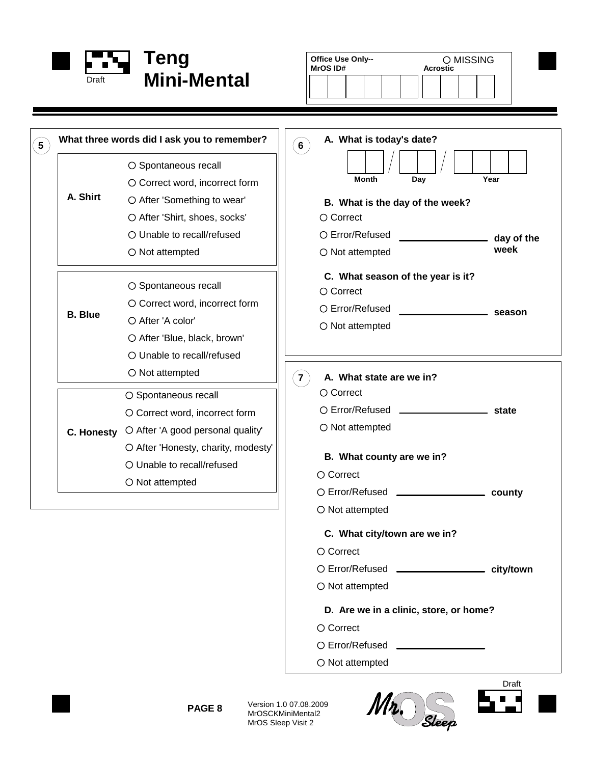

**What three words did I ask you to remember?**

O Not attempted

O After 'A color'

O Not attempted

O Spontaneous recall

 $\circ$  Spontaneous recall

O Correct word, incorrect form

O After 'Blue, black, brown' O Unable to recall/refused

O Correct word, incorrect form

O Unable to recall/refused

After 'Honesty, charity, modesty'

O Spontaneous recall

O Correct word, incorrect form O After 'Something to wear' O After 'Shirt, shoes, socks' Unable to recall/refused

**C. Honesty** After 'A good personal quality'

 $O$  Not attempted

**5**

**A. Shirt**

**B. Blue**

| <b>Office Use Only--</b><br>O MISSING<br><b>Acrostic</b><br><b>MrOS ID#</b> |                                                 |
|-----------------------------------------------------------------------------|-------------------------------------------------|
|                                                                             |                                                 |
|                                                                             |                                                 |
|                                                                             |                                                 |
| A. What is today's date?<br>6                                               |                                                 |
| <b>Month</b><br>Day                                                         | Year                                            |
| B. What is the day of the week?                                             |                                                 |
| $\circ$ Correct                                                             |                                                 |
| ○ Error/Refused                                                             | <u>__________________</u> __ day of the<br>week |
| O Not attempted                                                             |                                                 |
| C. What season of the year is it?                                           |                                                 |
| ○ Correct                                                                   |                                                 |
| ○ Error/Refused<br>$\overline{\phantom{a}}$ season                          |                                                 |
| O Not attempted                                                             |                                                 |
| A. What state are we in?<br>7<br>$\circ$ Correct                            |                                                 |
| O Error/Refused __________________________ state                            |                                                 |
| $\bigcirc$ Not attempted                                                    |                                                 |
| B. What county are we in?                                                   |                                                 |
| $\circ$ Correct                                                             |                                                 |
| O Error/Refused ___________________                                         | county                                          |
| O Not attempted                                                             |                                                 |
| C. What city/town are we in?                                                |                                                 |
| ○ Correct                                                                   |                                                 |
| O Error/Refused ________________ city/town                                  |                                                 |
| O Not attempted                                                             |                                                 |
| D. Are we in a clinic, store, or home?                                      |                                                 |
| ○ Correct                                                                   |                                                 |

- Error/Refused
- $\bigcirc$  Not attempted







Version 1.0 07.08.2009 MrOSCKMiniMental2 MrOS Sleep Visit 2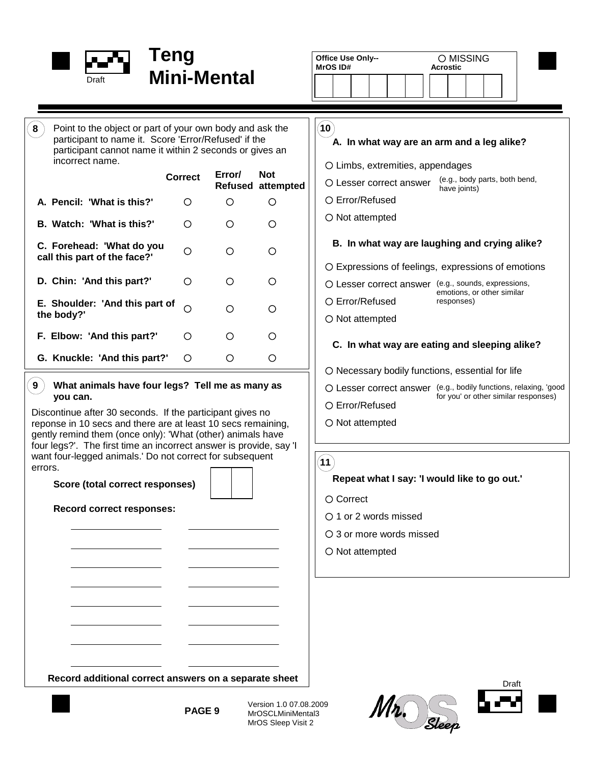

Point to the object or part of your own body and ask the participant to name it. Score 'Error/Refused' if the participant cannot name it within 2 seconds or gives an

**Correct Error/**

 $\circ$ 

 $\circ$ 

 $\circ$ 

 $\Omega$ 

 $\circ$ 

 $\circ$ 

 $\bigcirc$ 

 $\circ$ 

 $\circ$ 

 $\circ$ 

 $\circ$ 

 $\circ$ 

 $\circ$ 

 $\circ$ 

 $\circ$ 

 $\circ$ 

 $\circ$ 

 $\bigcirc$ 

| ental                                                 | O MISSING<br><b>Office Use Only--</b><br>MrOS ID#<br><b>Acrostic</b>     |
|-------------------------------------------------------|--------------------------------------------------------------------------|
| body and ask the<br>fused' if the<br>onds or gives an | 10<br>A. In what way are an arm and a leg alike?                         |
|                                                       | O Limbs, extremities, appendages                                         |
| Error/<br><b>Not</b><br>Refused attempted             | (e.g., body parts, both bend,<br>O Lesser correct answer<br>have joints) |
|                                                       | ○ Error/Refused                                                          |

 $O$  Not attempted

#### **B. In what way are laughing and crying alike?**

Expressions of feelings, expressions of emotions

- Lesser correct answer (e.g., sounds, expressions, emotions, or other similar
	- responses)

Error/Refused O Not attempted

#### **C. In what way are eating and sleeping alike?**

- $O$  Necessary bodily functions, essential for life
- Lesser correct answer (e.g., bodily functions, relaxing, 'good
- Error/Refused for you' or other similar responses)
- $\bigcirc$  Not attempted

 $(11)$ 

#### **Repeat what I say: 'I would like to go out.'**

- O Correct
- O 1 or 2 words missed
- 3 or more words missed
- $\bigcirc$  Not attempted





| raft |  |
|------|--|
|      |  |

**PAGE 9**

Version 1.0 07.08.2009 MrOSCLMiniMental3 MrOS Sleep Visit 2

**Record additional correct answers on a separate sheet**

**9**

**the body?'**

**8**

**A. Pencil: 'What is this?'**

incorrect name.

**B. Watch: 'What is this?'**

**D. Chin: 'And this part?'**

**F. Elbow: 'And this part?'**

**G. Knuckle: 'And this part?'**

**E. Shoulder: 'And this part of**

**C. Forehead: 'What do you call this part of the face?'**

> **What animals have four legs? Tell me as many as you can.**

Discontinue after 30 seconds. If the participant gives no reponse in 10 secs and there are at least 10 secs remaining, gently remind them (once only): 'What (other) animals have four legs?'. The first time an incorrect answer is provide, say 'I want four-legged animals.' Do not correct for subsequent errors.

**Score (total correct responses)**

### **Record correct responses:**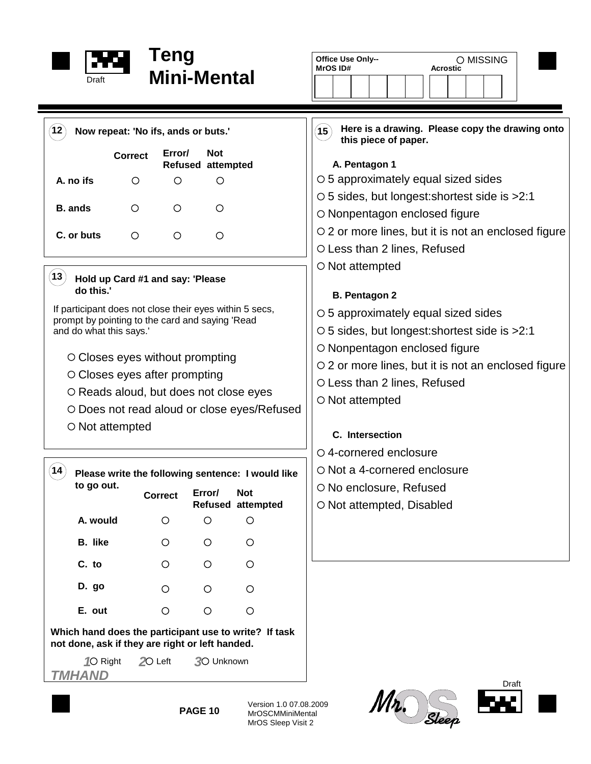

 $\circ$ 

 $\circ$ 

**Which hand does the participant use to write? If task**

**not done, ask if they are right or left handed.**

 $\circ$ 

**E. out**

*1* $\circ$  Right

*TMHAND*

 $(14)$ 

# **Mini-Mental**

| Draft                                                                                                          |                                                                                  | Teng<br><b>Mini-Mental</b>                                                                                                                                                                                                                                                                                                   |                              |                                                                                                                   | Office Use Only--<br>O MISSING<br><b>Acrostic</b><br>MrOS ID#                                                                                                                                                                                                                                                                                                                                                                                                                                                                                                                                           |  |  |  |
|----------------------------------------------------------------------------------------------------------------|----------------------------------------------------------------------------------|------------------------------------------------------------------------------------------------------------------------------------------------------------------------------------------------------------------------------------------------------------------------------------------------------------------------------|------------------------------|-------------------------------------------------------------------------------------------------------------------|---------------------------------------------------------------------------------------------------------------------------------------------------------------------------------------------------------------------------------------------------------------------------------------------------------------------------------------------------------------------------------------------------------------------------------------------------------------------------------------------------------------------------------------------------------------------------------------------------------|--|--|--|
| $\mathbf{12})$<br>A. no ifs<br><b>B.</b> ands<br>C. or buts<br>13)<br>do this.'<br>and do what this says.'     | <b>Correct</b><br>$\circ$<br>$\circ$<br>O<br>$\circ$ Closes eyes after prompting | Now repeat: 'No ifs, ands or buts.'<br>Error/<br><b>Not</b><br><b>Refused attempted</b><br>O<br>O<br>$\circ$<br>$\circ$<br>O<br>O<br>Hold up Card #1 and say: 'Please<br>If participant does not close their eyes within 5 secs,<br>prompt by pointing to the card and saying 'Read<br>$\circ$ Closes eyes without prompting |                              |                                                                                                                   | Here is a drawing. Please copy the drawing onto<br>$({\bf 15})$<br>this piece of paper.<br>A. Pentagon 1<br>○ 5 approximately equal sized sides<br>○ 5 sides, but longest: shortest side is > 2:1<br>O Nonpentagon enclosed figure<br>$\circ$ 2 or more lines, but it is not an enclosed figure<br>O Less than 2 lines, Refused<br>○ Not attempted<br><b>B. Pentagon 2</b><br>$\circ$ 5 approximately equal sized sides<br>○ 5 sides, but longest: shortest side is > 2:1<br>O Nonpentagon enclosed figure<br>$\circ$ 2 or more lines, but it is not an enclosed figure<br>O Less than 2 lines, Refused |  |  |  |
| O Reads aloud, but does not close eyes<br>O Does not read aloud or close eyes/Refused<br>$\circ$ Not attempted |                                                                                  |                                                                                                                                                                                                                                                                                                                              |                              |                                                                                                                   | $\circ$ Not attempted<br>C. Intersection                                                                                                                                                                                                                                                                                                                                                                                                                                                                                                                                                                |  |  |  |
| 14)<br>to go out.<br>A. would<br><b>B.</b> like                                                                |                                                                                  | <b>Correct</b><br>$\circ$<br>$\circ$                                                                                                                                                                                                                                                                                         | Error/<br>$\circ$<br>$\circ$ | Please write the following sentence: I would like<br><b>Not</b><br><b>Refused attempted</b><br>$\circ$<br>$\circ$ | ○ 4-cornered enclosure<br>○ Not a 4-cornered enclosure<br>○ No enclosure, Refused<br>○ Not attempted, Disabled                                                                                                                                                                                                                                                                                                                                                                                                                                                                                          |  |  |  |
| C. to<br>D. go                                                                                                 |                                                                                  | $\circ$<br>$\circ$                                                                                                                                                                                                                                                                                                           | $\circ$<br>$\circ$           | $\circ$<br>$\bigcirc$                                                                                             |                                                                                                                                                                                                                                                                                                                                                                                                                                                                                                                                                                                                         |  |  |  |







**PAGE 10**

20 Left 30 Unknown

Version 1.0 07.08.2009 MrOSCMMiniMental MrOS Sleep Visit 2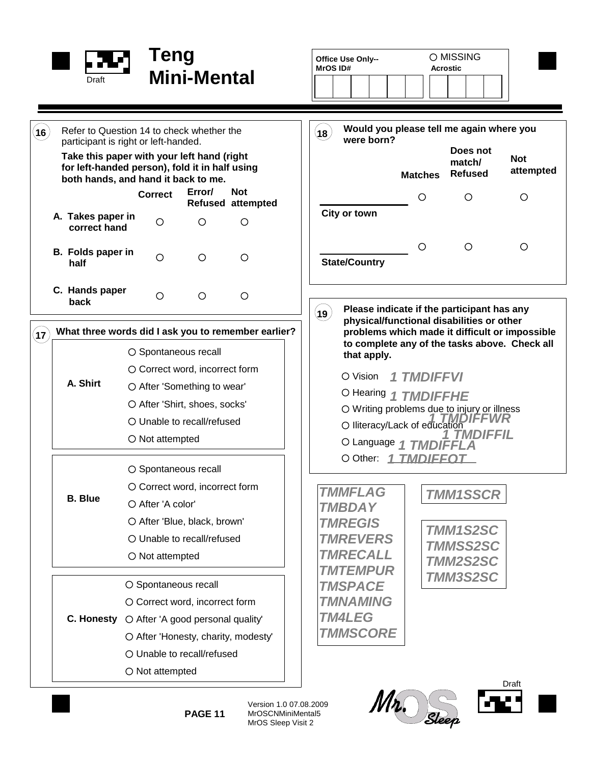

|                  | <b>Draft</b>                                                                                                                                                                                                             | Teng                                                                                                                                                                                        | <b>Mini-Mental</b> |                                        | Office Use Only--<br><b>MrOSID#</b>                                                                                                                         |                   | O MISSING<br><b>Acrostic</b>                                             |                         |
|------------------|--------------------------------------------------------------------------------------------------------------------------------------------------------------------------------------------------------------------------|---------------------------------------------------------------------------------------------------------------------------------------------------------------------------------------------|--------------------|----------------------------------------|-------------------------------------------------------------------------------------------------------------------------------------------------------------|-------------------|--------------------------------------------------------------------------|-------------------------|
| $(\mathbf{16})$  | Refer to Question 14 to check whether the<br>participant is right or left-handed.<br>Take this paper with your left hand (right<br>for left-handed person), fold it in half using<br>both hands, and hand it back to me. |                                                                                                                                                                                             |                    |                                        | Would you please tell me again where you<br>$({\bf 18})$<br>were born?                                                                                      | <b>Matches</b>    | Does not<br>match/<br><b>Refused</b>                                     | <b>Not</b><br>attempted |
|                  |                                                                                                                                                                                                                          | <b>Correct</b>                                                                                                                                                                              | Error/             | <b>Not</b><br><b>Refused attempted</b> |                                                                                                                                                             | O                 | $\bigcirc$                                                               | O                       |
|                  | A. Takes paper in<br>correct hand                                                                                                                                                                                        | O                                                                                                                                                                                           | $\circ$            | $\circ$                                | City or town                                                                                                                                                |                   |                                                                          |                         |
|                  | <b>B.</b> Folds paper in<br>half                                                                                                                                                                                         | $\circ$                                                                                                                                                                                     | $\circ$            | $\circ$                                | <b>State/Country</b>                                                                                                                                        | $\circ$           | $\circ$                                                                  | $\circ$                 |
|                  | C. Hands paper<br>back                                                                                                                                                                                                   | O                                                                                                                                                                                           | O                  | $\circ$                                | Please indicate if the participant has any<br>$\mathbf{\mathbf{\mathsf{(19)}}}$                                                                             |                   |                                                                          |                         |
| $^{'}$ 17 $^{'}$ | What three words did I ask you to remember earlier?                                                                                                                                                                      | O Spontaneous recall                                                                                                                                                                        |                    |                                        | physical/functional disabilities or other<br>problems which made it difficult or impossible<br>to complete any of the tasks above. Check all<br>that apply. |                   |                                                                          |                         |
|                  | A. Shirt                                                                                                                                                                                                                 | ○ Correct word, incorrect form<br>O After 'Something to wear'<br>O After 'Shirt, shoes, socks'<br>○ Unable to recall/refused<br>$\bigcirc$ Not attempted                                    |                    |                                        | O Vision<br>O Hearing 1 TMDIFFHE<br>O Writing problems due to injury or illness<br>O Iliteracy/Lack of education<br>O Language 1 TMDIFFLA                   | <b>1 TMDIFFVI</b> | <b>TMDIFFIL</b>                                                          |                         |
|                  | <b>B.</b> Blue                                                                                                                                                                                                           | O Spontaneous recall<br>O Correct word, incorrect form<br>O After 'A color'<br>O After 'Blue, black, brown'<br>O Unable to recall/refused<br>O Not attempted                                |                    |                                        | O Other: 1 TMDIEEOT<br><b>TMMFLAG</b><br><b>TMBDAY</b><br><b>TMREGIS</b><br><b>TMREVERS</b><br><b>TMRECALL</b><br><b>TMTEMPUR</b>                           |                   | <b>TMM1SSCR</b><br><b>TMM1S2SC</b><br><b>TMMSS2SC</b><br><b>TMM2S2SC</b> |                         |
|                  |                                                                                                                                                                                                                          | O Spontaneous recall<br>O Correct word, incorrect form<br><b>C. Honesty</b> $\bigcirc$ After 'A good personal quality'<br>O After 'Honesty, charity, modesty'<br>O Unable to recall/refused |                    |                                        | <b>TMSPACE</b><br><b>TMNAMING</b><br><b>TM4LEG</b><br><b>TMMSCORE</b>                                                                                       |                   | TMM3S2SC                                                                 |                         |

**PAGE 11**



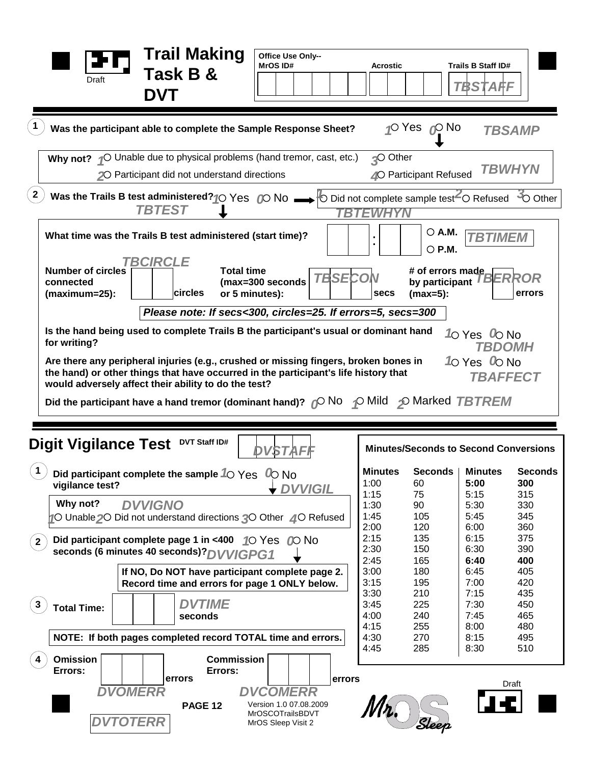| <b>DVT</b>                                                                                                                                                                                                                                                             | <b>Acrostic</b>                                        |                                                   | Trails B Staff ID#<br>TBSTAFF                          |                                                   |
|------------------------------------------------------------------------------------------------------------------------------------------------------------------------------------------------------------------------------------------------------------------------|--------------------------------------------------------|---------------------------------------------------|--------------------------------------------------------|---------------------------------------------------|
| Was the participant able to complete the Sample Response Sheet?                                                                                                                                                                                                        |                                                        | √O Yes ∧O No                                      |                                                        | <b>TBSAMP</b>                                     |
| Why not? $\sqrt{\ }$ Unable due to physical problems (hand tremor, cast, etc.)<br>20 Participant did not understand directions                                                                                                                                         | <b>O</b> Other                                         | 40 Participant Refused                            |                                                        | <i><b>TBWHYN</b></i>                              |
| $\overline{2}$<br>Was the Trails B test administered? $\bigcirc$ Yes $\bigcirc$ No $\longrightarrow$ $\circ$ Did not complete sample test $\sim$ Refused<br><b>TBTEST</b>                                                                                              | YN                                                     |                                                   |                                                        | +O Other                                          |
| What time was the Trails B test administered (start time)?                                                                                                                                                                                                             |                                                        | ○ A.M.<br>$\circ$ P.M.                            | <b>TBTIMEM</b>                                         |                                                   |
| <i><b>TBCIRCLE</b></i><br><b>Total time</b><br><b>Number of circles</b><br><b>TBSECON</b><br>(max=300 seconds<br>connected<br>circles<br>or 5 minutes):<br>$(maximum=25)$ :                                                                                            | secs                                                   | # of errors made<br>by participant<br>$(max=5)$ : |                                                        | <b>BERROR</b><br>errors                           |
| Please note: If secs<300, circles=25. If errors=5, secs=300                                                                                                                                                                                                            |                                                        |                                                   |                                                        |                                                   |
| Is the hand being used to complete Trails B the participant's usual or dominant hand<br>for writing?                                                                                                                                                                   |                                                        |                                                   | 10 Yes 0 No<br><i><b>TBDOMH</b></i>                    |                                                   |
| the hand) or other things that have occurred in the participant's life history that<br>would adversely affect their ability to do the test?<br>Did the participant have a hand tremor (dominant hand)? $\mathcal{O}$ No $\mathcal{O}$ Mild $\mathcal{D}$ Marked TBTREM |                                                        |                                                   | TBAFFECT                                               |                                                   |
| DVT Staff ID#<br><b>DVSTAFF</b>                                                                                                                                                                                                                                        |                                                        | <b>Minutes/Seconds to Second Conversions</b>      |                                                        |                                                   |
| <b>Digit Vigilance Test</b><br>Did participant complete the sample $\sqrt[6]{\text{eS}}$<br>$\omega$ No<br>vigilance test?<br><b>DVVIGIL</b><br>Why not?<br><b>DVVIGNO</b><br>10 Unable 20 Did not understand directions 30 Other 40 Refused                           | <b>Minutes</b><br>1:00<br>1:15<br>1:30<br>1:45<br>2:00 | Seconds  <br>60<br>75<br>90<br>105<br>120         | <b>Minutes</b><br>5:00<br>5:15<br>5:30<br>5:45<br>6:00 | <b>Seconds</b><br>300<br>315<br>330<br>345<br>360 |
| Did participant complete page 1 in <400 10 Yes 00 No<br>$^{\prime}$ 2 $^{\prime}$<br>seconds (6 minutes 40 seconds)? DVVIGPG1                                                                                                                                          | 2:15<br>2:30                                           | 135<br>150                                        | 6:15<br>6:30                                           | 375<br>390                                        |
| If NO, Do NOT have participant complete page 2.<br>Record time and errors for page 1 ONLY below.                                                                                                                                                                       | 2:45<br>3:00<br>3:15<br>3:30                           | 165<br>180<br>195<br>210                          | 6:40<br>6:45<br>7:00<br>7:15                           | 400<br>405<br>420<br>435                          |
| <b>DVTIME</b><br>3<br><b>Total Time:</b><br>seconds<br>NOTE: If both pages completed record TOTAL time and errors.                                                                                                                                                     | 3:45<br>4:00<br>4:15<br>4:30                           | 225<br>240<br>255<br>270                          | 7:30<br>7:45<br>8:00<br>8:15                           | 450<br>465<br>480<br>495                          |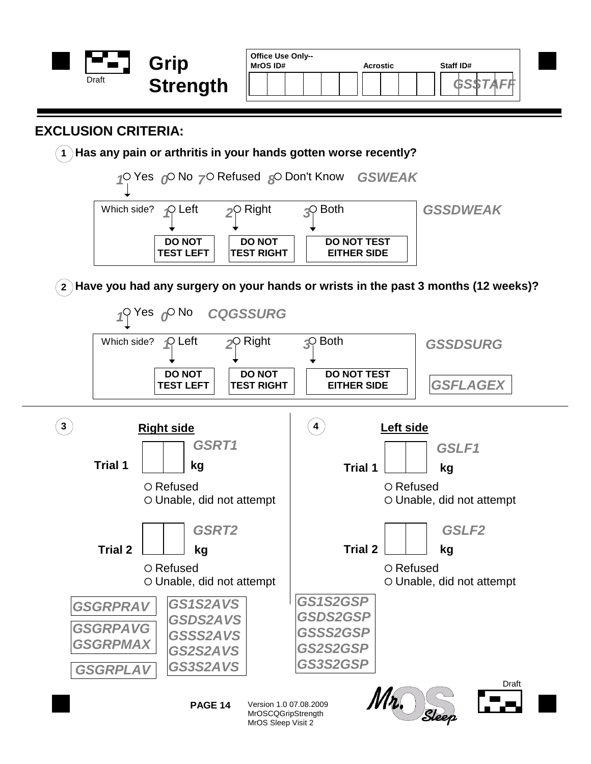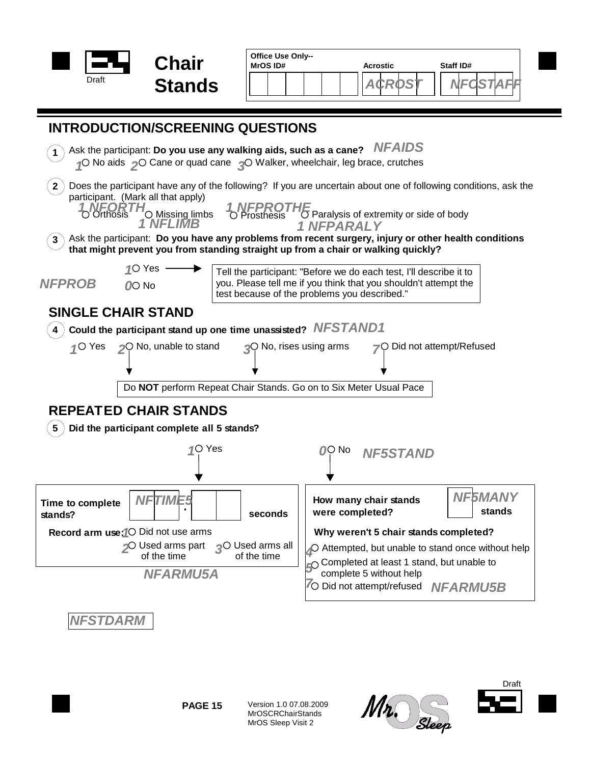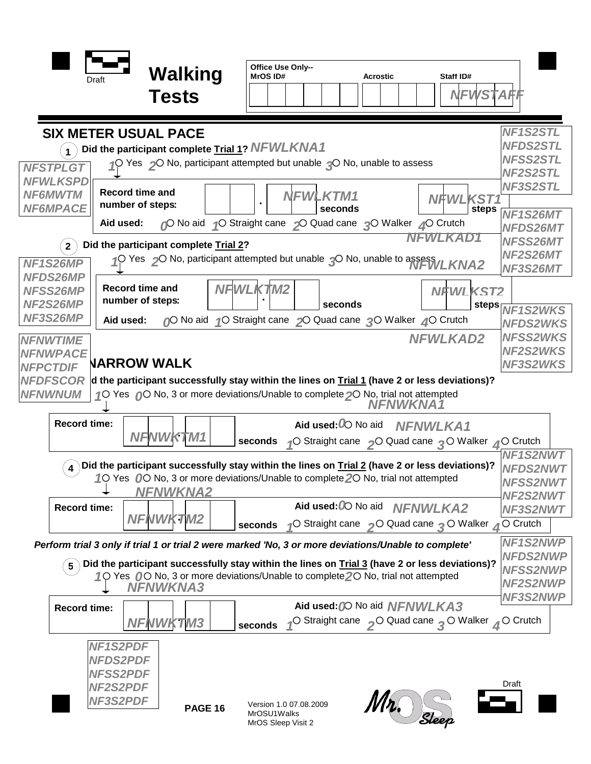|                                    |                        |                                                                                                                      |                 | Office Use Only--                     |                                                            |          |                 |                                                                                      |                                    |
|------------------------------------|------------------------|----------------------------------------------------------------------------------------------------------------------|-----------------|---------------------------------------|------------------------------------------------------------|----------|-----------------|--------------------------------------------------------------------------------------|------------------------------------|
|                                    | <b>Draft</b>           | Walking                                                                                                              |                 | MrOS ID#                              |                                                            | Acrostic |                 | Staff ID#                                                                            |                                    |
|                                    |                        | <b>Tests</b>                                                                                                         |                 |                                       |                                                            |          |                 | NFWSTAFI                                                                             |                                    |
|                                    |                        |                                                                                                                      |                 |                                       |                                                            |          |                 |                                                                                      |                                    |
|                                    |                        | <b>SIX METER USUAL PACE</b>                                                                                          |                 |                                       |                                                            |          |                 |                                                                                      | NF1S2STL                           |
|                                    |                        | Did the participant complete Trial 1? NFWLKNA1                                                                       |                 |                                       |                                                            |          |                 |                                                                                      | <b>NFDS2STL</b>                    |
| <b>NFSTPLGT</b>                    |                        | Yes $\sim$ No, participant attempted but unable $\sim$ No, unable to assess                                          |                 |                                       |                                                            |          |                 |                                                                                      | <b>NFSS2STL</b>                    |
| <b>NFWLKSPD</b>                    |                        |                                                                                                                      |                 |                                       |                                                            |          |                 |                                                                                      | NF2S2STL<br>NF3S2STL               |
| <b>NF6MWTM</b>                     | <b>Record time and</b> |                                                                                                                      |                 |                                       | <b>NFWLKTM1</b>                                            |          |                 | <b>NFWLKST1</b>                                                                      |                                    |
| <b>NF6MPACE</b>                    | number of steps:       |                                                                                                                      |                 |                                       | seconds                                                    |          |                 | steps                                                                                | NF1S26MT                           |
|                                    | Aid used:              |                                                                                                                      |                 |                                       | O No aid O Straight cane O Quad cane O Walker O Crutch     |          |                 | NFWLKAD1                                                                             | NFDS26MT                           |
| $2^{\circ}$                        |                        | Did the participant complete Trial 2?                                                                                |                 |                                       |                                                            |          |                 |                                                                                      | <b>NFSS26MT</b>                    |
| NF1S26MP                           |                        | 1O Yes 2O No, participant attempted but unable 3O No, unable to assess WLKNA2                                        |                 |                                       |                                                            |          |                 |                                                                                      | NF2S26MT<br>NF3S26MT               |
| <b>NFDS26MP</b>                    |                        |                                                                                                                      |                 |                                       |                                                            |          |                 |                                                                                      |                                    |
| <b>NFSS26MP</b>                    |                        | <b>Record time and</b><br>number of steps:                                                                           | <b>NFWLKTM2</b> |                                       |                                                            |          |                 | <b>NFWLKST2</b>                                                                      |                                    |
| NF2S26MP<br>NF3S26MP               |                        |                                                                                                                      |                 |                                       | seconds                                                    |          |                 | steps                                                                                | <b>NF1S2WKS</b>                    |
|                                    | Aid used:              |                                                                                                                      |                 |                                       | O No aid 10 Straight cane 20 Quad cane 20 Walker 40 Crutch |          |                 |                                                                                      | <b>NFDS2WKS</b>                    |
| <b>NFNWTIME</b>                    |                        |                                                                                                                      |                 |                                       |                                                            |          |                 | <b>NFWLKAD2</b>                                                                      | <b>NFSS2WKS</b><br><b>NF2S2WKS</b> |
| <b>NFNWPACE</b><br><b>NFPCTDIF</b> |                        | <b>NARROW WALK</b>                                                                                                   |                 |                                       |                                                            |          |                 |                                                                                      | <b>NF3S2WKS</b>                    |
| <b>NFDFSCOR</b>                    |                        | $\mathsf d$ the participant successfully stay within the lines on Trial 1 (have 2 or less deviations)?               |                 |                                       |                                                            |          |                 |                                                                                      |                                    |
| <b>NFNWNUM</b>                     |                        | 10 Yes 00 No, 3 or more deviations/Unable to complete 20 No, trial not attempted                                     |                 |                                       |                                                            |          |                 |                                                                                      |                                    |
|                                    |                        |                                                                                                                      |                 |                                       |                                                            |          | NFNWKNA1        |                                                                                      |                                    |
| <b>Record time:</b>                |                        |                                                                                                                      |                 |                                       | Aid used: 0 No aid                                         |          | <b>NFNWLKA1</b> |                                                                                      |                                    |
|                                    |                        | NFNWKTM1                                                                                                             | seconds         |                                       |                                                            |          |                 | √O Straight cane <sub>2</sub> O Quad cane <sub>2</sub> O Walker 2O Crutch            |                                    |
|                                    |                        | )Did the participant successfully stay within the lines on $\underline{\text{trial 2}}$ (have 2 or less deviations)? |                 |                                       |                                                            |          |                 |                                                                                      | <b>NF1S2NWT</b>                    |
|                                    |                        | 10 Yes 00 No, 3 or more deviations/Unable to complete 20 No, trial not attempted                                     |                 |                                       |                                                            |          |                 |                                                                                      | <b>NFDS2NWT</b><br><b>NFSS2NWT</b> |
|                                    |                        | <b>NFNWKNA2</b>                                                                                                      |                 |                                       |                                                            |          |                 |                                                                                      | <b>NF2S2NWT</b>                    |
| <b>Record time:</b>                |                        |                                                                                                                      |                 |                                       | Aid used: 00 No aid NFNWLKA2                               |          |                 |                                                                                      | NF3S2NWT                           |
|                                    |                        | <b>NFNWKTM2</b>                                                                                                      | seconds         |                                       |                                                            |          |                 | √O Straight cane > O Quad cane • O Walker ∡O Crutch                                  |                                    |
|                                    |                        | Perform trial 3 only if trial 1 or trial 2 were marked 'No, 3 or more deviations/Unable to complete'                 |                 |                                       |                                                            |          |                 |                                                                                      | NF1S2NWP                           |
| $5\phantom{.0}$                    |                        | ) Did the participant successfully stay within the lines on Trial 3 (have 2 or less deviations)?                     |                 |                                       |                                                            |          |                 |                                                                                      | <b>NFDS2NWP</b>                    |
|                                    |                        | 10 Yes 00 No, 3 or more deviations/Unable to complete 20 No, trial not attempted                                     |                 |                                       |                                                            |          |                 |                                                                                      | <b>NFSS2NWP</b><br><b>NF2S2NWP</b> |
|                                    |                        | <b>NFNWKNA3</b>                                                                                                      |                 |                                       |                                                            |          |                 |                                                                                      | NF3S2NWP                           |
| <b>Record time:</b>                |                        |                                                                                                                      |                 |                                       | Aid used: 00 No aid NFNWLKA3                               |          |                 |                                                                                      |                                    |
|                                    |                        | <b>NFNWKTM3</b>                                                                                                      | seconds         |                                       |                                                            |          |                 | O Straight cane <sub>2</sub> O Quad cane <sub>2</sub> O Walker <sub>4</sub> O Crutch |                                    |
|                                    | <b>NF1S2PDF</b>        |                                                                                                                      |                 |                                       |                                                            |          |                 |                                                                                      |                                    |
|                                    | <b>NFDS2PDF</b>        |                                                                                                                      |                 |                                       |                                                            |          |                 |                                                                                      |                                    |
|                                    | <b>NFSS2PDF</b>        |                                                                                                                      |                 |                                       |                                                            |          |                 |                                                                                      |                                    |
|                                    | <b>NF2S2PDF</b>        |                                                                                                                      |                 |                                       |                                                            |          |                 |                                                                                      | Draft                              |
|                                    | <b>NF3S2PDF</b>        | <b>PAGE 16</b>                                                                                                       |                 | Version 1.0 07.08.2009<br>MrOSU1Walks |                                                            |          |                 |                                                                                      |                                    |
|                                    |                        |                                                                                                                      |                 | MrOS Sleep Visit 2                    |                                                            |          | Slee            |                                                                                      |                                    |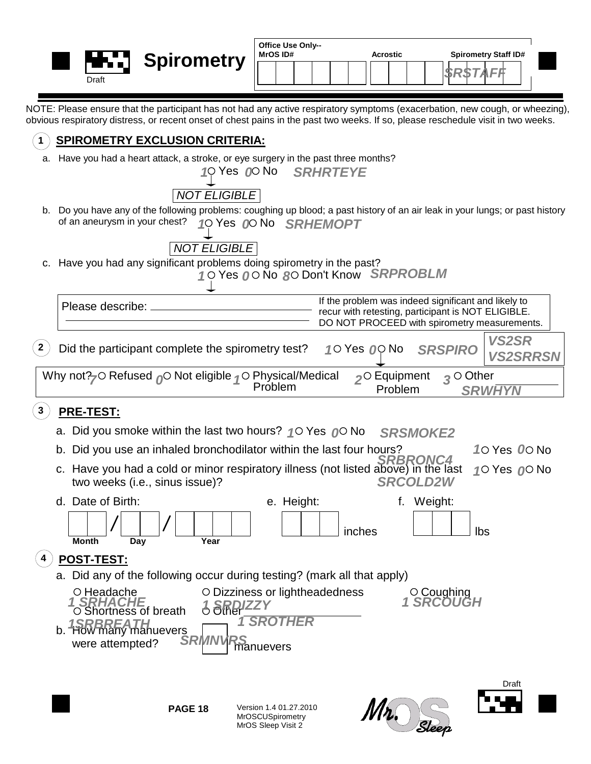|              | Draft                                                                                                               | <b>Spirometry</b>                                                                                                                                                                                                                                                                | Office Use Only--<br>MrOS ID#                                 | <b>Acrostic</b>                    | <b>Spirometry Staff ID#</b><br>SRSTAFF                                                                                                                    |                                 |
|--------------|---------------------------------------------------------------------------------------------------------------------|----------------------------------------------------------------------------------------------------------------------------------------------------------------------------------------------------------------------------------------------------------------------------------|---------------------------------------------------------------|------------------------------------|-----------------------------------------------------------------------------------------------------------------------------------------------------------|---------------------------------|
|              |                                                                                                                     | NOTE: Please ensure that the participant has not had any active respiratory symptoms (exacerbation, new cough, or wheezing),<br>obvious respiratory distress, or recent onset of chest pains in the past two weeks. If so, please reschedule visit in two weeks.                 |                                                               |                                    |                                                                                                                                                           |                                 |
|              |                                                                                                                     | <b>SPIROMETRY EXCLUSION CRITERIA:</b>                                                                                                                                                                                                                                            |                                                               |                                    |                                                                                                                                                           |                                 |
|              |                                                                                                                     | a. Have you had a heart attack, a stroke, or eye surgery in the past three months?<br><b>NOT ELIGIBLE</b>                                                                                                                                                                        | 10 Yes 00 No SRHRTEYE                                         |                                    |                                                                                                                                                           |                                 |
|              | of an aneurysm in your chest?                                                                                       | b. Do you have any of the following problems: coughing up blood; a past history of an air leak in your lungs; or past history<br><b>NOT ELIGIBLE</b>                                                                                                                             | 10 Yes 00 No SRHEMOPT                                         |                                    |                                                                                                                                                           |                                 |
|              |                                                                                                                     | c. Have you had any significant problems doing spirometry in the past?                                                                                                                                                                                                           | 10 Yes 00 No 80 Don't Know SRPROBLM                           |                                    |                                                                                                                                                           |                                 |
|              | Please describe: ______                                                                                             |                                                                                                                                                                                                                                                                                  |                                                               |                                    | If the problem was indeed significant and likely to<br>recur with retesting, participant is NOT ELIGIBLE.<br>DO NOT PROCEED with spirometry measurements. |                                 |
| $\mathbf{2}$ |                                                                                                                     | Did the participant complete the spirometry test?                                                                                                                                                                                                                                |                                                               | 10 Yes <i>0</i> 0 No               | <b>SRSPIRO</b>                                                                                                                                            | <b>VS2SR</b><br><b>VS2SRRSN</b> |
|              |                                                                                                                     | Why not? $\sim$ Refused $\sim$ Not eligible $\sim$ Physical/Medical                                                                                                                                                                                                              | Problem                                                       | Problem                            | $2^{\circ}$ Equipment $3^{\circ}$ Other<br><b>SRWHYN</b>                                                                                                  |                                 |
|              | <b>PRE-TEST:</b>                                                                                                    |                                                                                                                                                                                                                                                                                  |                                                               |                                    |                                                                                                                                                           |                                 |
|              |                                                                                                                     | a. Did you smoke within the last two hours? $\binom{4}{1}$ Yes $\binom{4}{1}$ No<br>b. Did you use an inhaled bronchodilator within the last four hours?<br>c. Have you had a cold or minor respiratory illness (not listed above) in the last<br>two weeks (i.e., sinus issue)? |                                                               | <b>SRSMOKE2</b><br><b>SRCOLD2W</b> |                                                                                                                                                           | 10 Yes 00 No<br>10 Yes 00 No    |
|              | d. Date of Birth:<br><b>Month</b>                                                                                   | Year<br>Day                                                                                                                                                                                                                                                                      | e. Height:                                                    | inches                             | f. Weight:<br>Ibs                                                                                                                                         |                                 |
|              | POST-TEST:                                                                                                          | a. Did any of the following occur during testing? (mark all that apply)                                                                                                                                                                                                          |                                                               |                                    |                                                                                                                                                           |                                 |
|              | ○ Headache<br><b>1 SRHACHE</b><br>O Shortness of breath<br>b. 1SRBREATH<br>b. How many manuevers<br>were attempted? | <b>SRDIZZY</b><br><b>SRMN\</b>                                                                                                                                                                                                                                                   | O Dizziness or lightheadedness<br><b>SROTHER</b><br>manuevers |                                    | $\circ$ Coughing<br><i>1 SRCOUGH</i>                                                                                                                      |                                 |
|              |                                                                                                                     |                                                                                                                                                                                                                                                                                  |                                                               |                                    |                                                                                                                                                           | Draft                           |

**PAGE 18**

Version 1.4 01.27.2010 MrOSCUSpirometry MrOS Sleep Visit 2



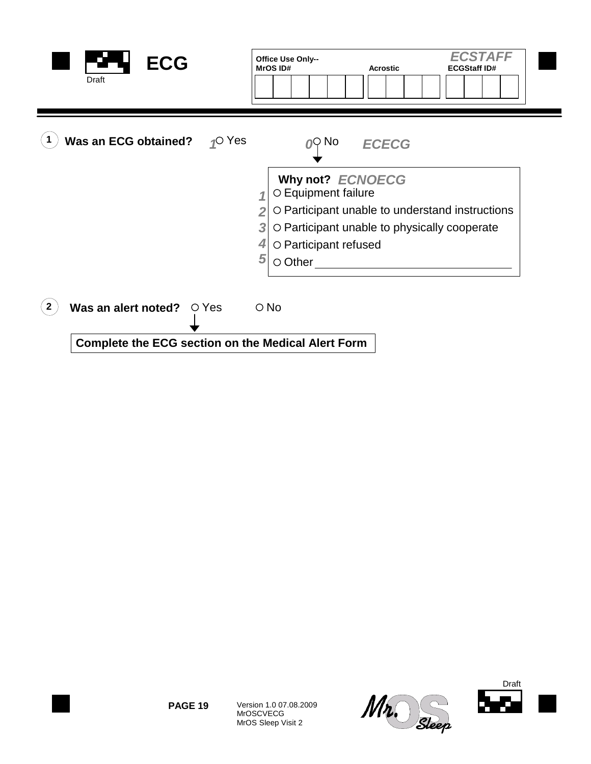| <b>ECG</b><br>Draft                                       | <b>ECSTAFF</b><br>Office Use Only--<br>MrOS ID#<br><b>Acrostic</b><br><b>ECGStaff ID#</b>                                                                                                      |
|-----------------------------------------------------------|------------------------------------------------------------------------------------------------------------------------------------------------------------------------------------------------|
| Was an ECG obtained? $\bigcirc$ Yes                       | ∩Q No<br><b>ECECG</b>                                                                                                                                                                          |
|                                                           | Why not? ECNOECG<br>O Equipment failure<br>O Participant unable to understand instructions<br>3<br>O Participant unable to physically cooperate<br>O Participant refused<br>5<br>$\circ$ Other |
| Was an alert noted? $\circ$ Yes<br>$\mathbf{2}$           | $\circ$ No                                                                                                                                                                                     |
| <b>Complete the ECG section on the Medical Alert Form</b> |                                                                                                                                                                                                |



Version 1.0 07.08.2009 MrOSCVECG MrOS Sleep Visit 2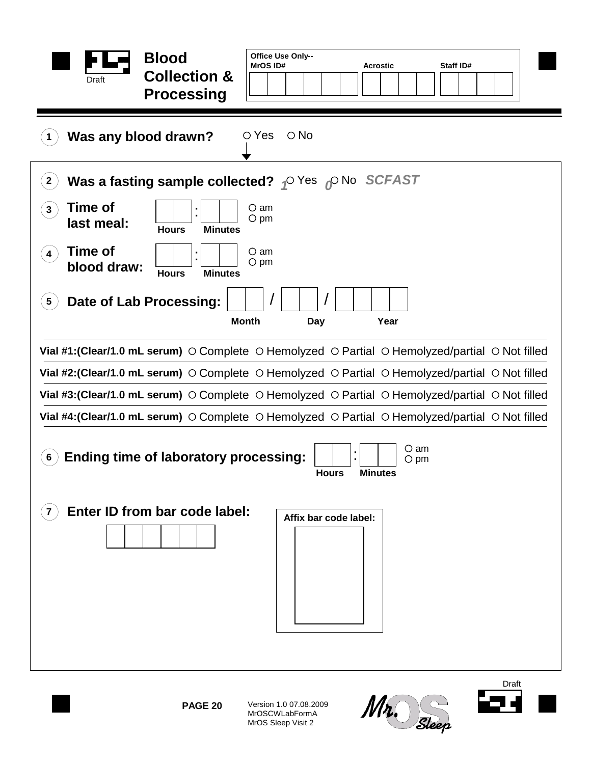| <b>Blood</b><br><b>Collection &amp;</b><br>Draft<br><b>Processing</b>                                            | Office Use Only--<br>MrOS ID#<br>Staff ID#<br><b>Acrostic</b>                                                                 |  |  |  |  |  |  |  |
|------------------------------------------------------------------------------------------------------------------|-------------------------------------------------------------------------------------------------------------------------------|--|--|--|--|--|--|--|
| $\circ$ No<br>Was any blood drawn?<br>$\circ$ Yes                                                                |                                                                                                                               |  |  |  |  |  |  |  |
| $2^{\circ}$                                                                                                      | Was a fasting sample collected? $\rho$ Yes $\rho$ No SCFAST                                                                   |  |  |  |  |  |  |  |
| Time of<br>3<br>last meal:<br><b>Hours</b><br><b>Minutes</b>                                                     | $\circ$ am<br>$\circ$ pm                                                                                                      |  |  |  |  |  |  |  |
| <b>Time of</b><br>$\blacktriangleleft$<br>blood draw:<br><b>Hours</b><br><b>Minutes</b>                          | $\circ$ am<br>$\bigcirc$ pm                                                                                                   |  |  |  |  |  |  |  |
| Date of Lab Processing:<br>$\boxed{5}$                                                                           | <b>Month</b><br>Year<br>Day                                                                                                   |  |  |  |  |  |  |  |
|                                                                                                                  | Vial #1: (Clear/1.0 mL serum) $\circ$ Complete $\circ$ Hemolyzed $\circ$ Partial $\circ$ Hemolyzed/partial $\circ$ Not filled |  |  |  |  |  |  |  |
|                                                                                                                  | Vial #2: (Clear/1.0 mL serum) $\circ$ Complete $\circ$ Hemolyzed $\circ$ Partial $\circ$ Hemolyzed/partial $\circ$ Not filled |  |  |  |  |  |  |  |
|                                                                                                                  | Vial #3: (Clear/1.0 mL serum) $\circ$ Complete $\circ$ Hemolyzed $\circ$ Partial $\circ$ Hemolyzed/partial $\circ$ Not filled |  |  |  |  |  |  |  |
|                                                                                                                  | Vial #4: (Clear/1.0 mL serum) $\circ$ Complete $\circ$ Hemolyzed $\circ$ Partial $\circ$ Hemolyzed/partial $\circ$ Not filled |  |  |  |  |  |  |  |
| O am<br><b>Ending time of laboratory processing:</b><br>$6\phantom{1}$<br>O pm<br><b>Minutes</b><br><b>Hours</b> |                                                                                                                               |  |  |  |  |  |  |  |
| Enter ID from bar code label:                                                                                    | Affix bar code label:                                                                                                         |  |  |  |  |  |  |  |



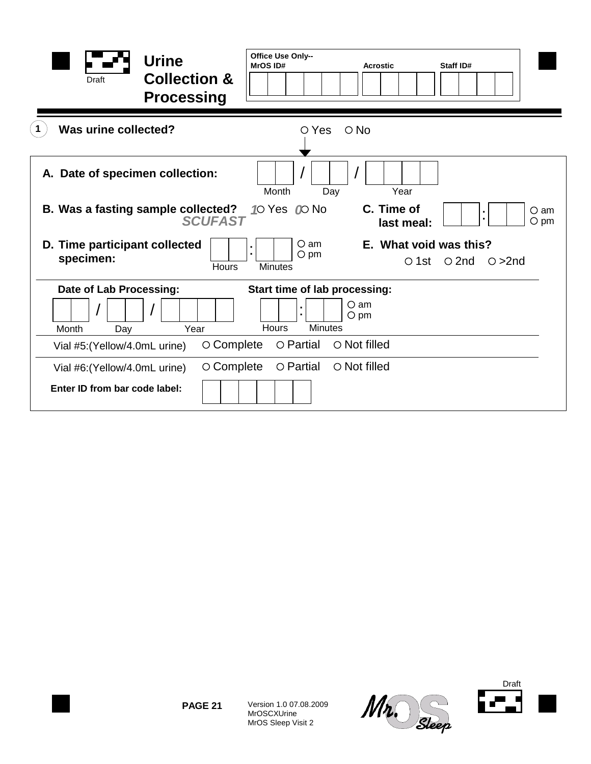| <b>Urine</b><br><b>Collection &amp;</b><br><b>Draft</b><br><b>Processing</b> | Office Use Only--<br>MrOS ID#                                     | <b>Acrostic</b>           | Staff ID#                               |                             |
|------------------------------------------------------------------------------|-------------------------------------------------------------------|---------------------------|-----------------------------------------|-----------------------------|
| Was urine collected?                                                         | $\circ$ No<br>$\circ$ Yes                                         |                           |                                         |                             |
| A. Date of specimen collection:                                              | Month<br>Day                                                      | Year                      |                                         |                             |
| B. Was a fasting sample collected?<br><b>SCUFAST</b>                         | 10 Yes 00 No                                                      | C. Time of<br>last meal:  |                                         | $\circ$ am<br>$\bigcirc$ pm |
| D. Time participant collected<br>specimen:<br>Hours                          | $\circ$ am<br>t,<br>$\circ$ pm<br><b>Minutes</b>                  | What void was this?<br>Е. | $\circ$ 1st $\circ$ 2nd<br>$\circ$ >2nd |                             |
| Date of Lab Processing:                                                      | Start time of lab processing:                                     |                           |                                         |                             |
| Year<br>Month<br>Day                                                         | $\circ$ am<br>$\blacksquare$<br>$O$ pm<br><b>Minutes</b><br>Hours |                           |                                         |                             |
| $\circ$ Complete<br>Vial #5: (Yellow/4.0mL urine)                            | $\circ$ Partial<br>○ Not filled                                   |                           |                                         |                             |
| ○ Complete<br>Vial #6: (Yellow/4.0mL urine)<br>Enter ID from bar code label: | O Partial<br>$\circ$ Not filled                                   |                           |                                         |                             |



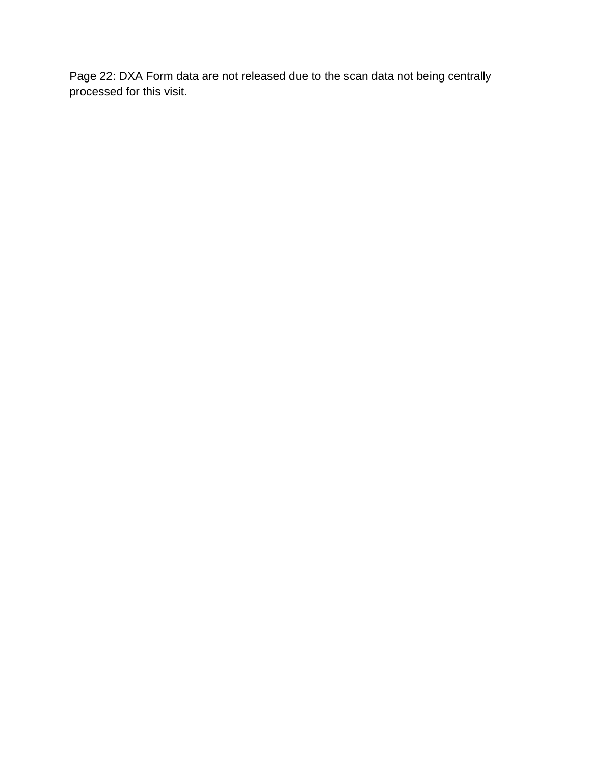Page 22: DXA Form data are not released due to the scan data not being centrally processed for this visit.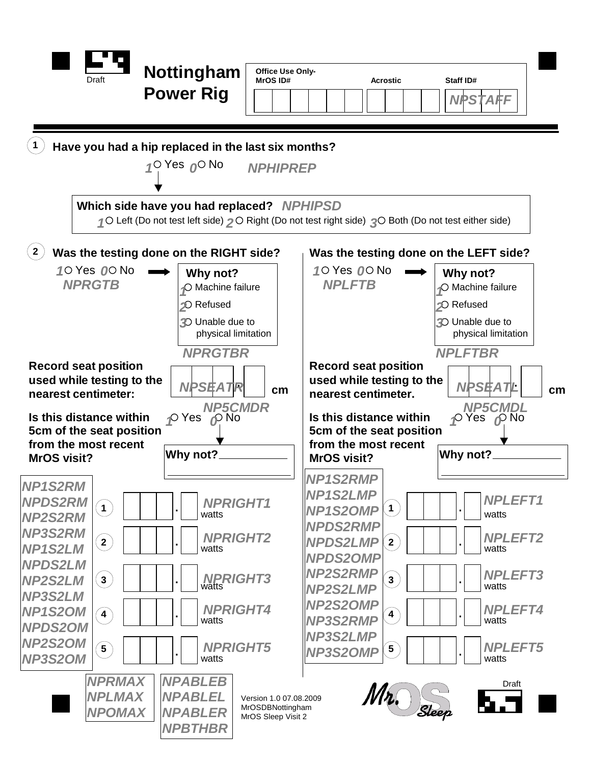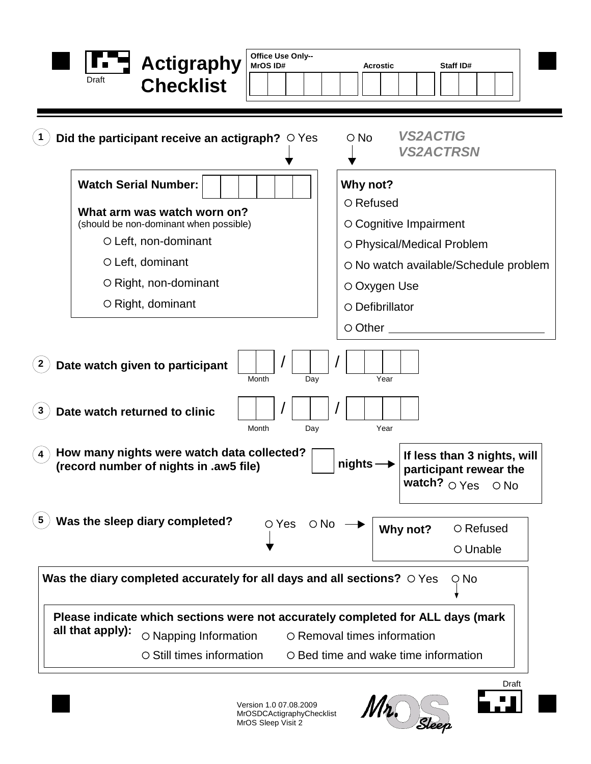| Office Use Only--<br><b>Actigraphy</b><br><b>MrOS ID#</b><br>Draft<br><b>Checklist</b>                                                                                                                           | Staff ID#<br><b>Acrostic</b>                                                                                                                                          |
|------------------------------------------------------------------------------------------------------------------------------------------------------------------------------------------------------------------|-----------------------------------------------------------------------------------------------------------------------------------------------------------------------|
| Did the participant receive an actigraph? $\circ$ Yes                                                                                                                                                            | <b>VS2ACTIG</b><br>$\circ$ No<br><b>VS2ACTRSN</b>                                                                                                                     |
| <b>Watch Serial Number:</b><br>What arm was watch worn on?<br>(should be non-dominant when possible)<br>O Left, non-dominant<br>$\circ$ Left, dominant<br>$\circ$ Right, non-dominant<br>$\circ$ Right, dominant | Why not?<br>$\circ$ Refused<br>○ Cognitive Impairment<br>O Physical/Medical Problem<br>○ No watch available/Schedule problem<br>$\circ$ Oxygen Use<br>O Defibrillator |
| Date watch given to participant<br>$\mathbf{2}$<br>Month<br>Day                                                                                                                                                  | $\circ$ Other $\overline{\phantom{a}}$<br>Year                                                                                                                        |
| Date watch returned to clinic<br>3<br>Month<br>Day<br>How many nights were watch data collected?<br>(record number of nights in .aw5 file)                                                                       | Year<br>If less than 3 nights, will<br>nights<br>participant rewear the<br>watch? $\circ$ Yes<br>$\circ$ No                                                           |
| Was the sleep diary completed?<br>OYes ONo<br>Was the diary completed accurately for all days and all sections? $\circ$ Yes                                                                                      | ○ Refused<br>Why not?<br>○ Unable<br>$\circ$ No                                                                                                                       |
| Please indicate which sections were not accurately completed for ALL days (mark<br>all that apply):<br>O Napping Information<br>○ Still times information                                                        | O Removal times information<br>$\circ$ Bed time and wake time information                                                                                             |

Version 1.0 07.08.2009 MrOSDCActigraphyChecklist MrOS Sleep Visit 2